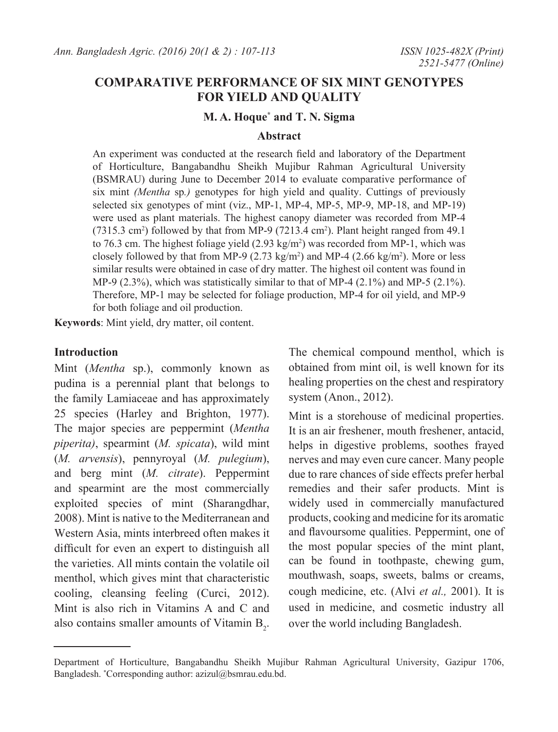# **COMPARATIVE PERFORMANCE OF SIX MINT GENOTYPES FOR YIELD AND QUALITY**

### **M. A. Hoque\* and T. N. Sigma**

### **Abstract**

An experiment was conducted at the research field and laboratory of the Department of Horticulture, Bangabandhu Sheikh Mujibur Rahman Agricultural University (BSMRAU) during June to December 2014 to evaluate comparative performance of six mint *(Mentha* sp*.)* genotypes for high yield and quality. Cuttings of previously selected six genotypes of mint (viz., MP-1, MP-4, MP-5, MP-9, MP-18, and MP-19) were used as plant materials. The highest canopy diameter was recorded from MP-4  $(7315.3 \text{ cm}^2)$  followed by that from MP-9  $(7213.4 \text{ cm}^2)$ . Plant height ranged from 49.1 to 76.3 cm. The highest foliage yield  $(2.93 \text{ kg/m}^2)$  was recorded from MP-1, which was closely followed by that from MP-9  $(2.73 \text{ kg/m}^2)$  and MP-4  $(2.66 \text{ kg/m}^2)$ . More or less similar results were obtained in case of dry matter. The highest oil content was found in MP-9 (2.3%), which was statistically similar to that of MP-4 (2.1%) and MP-5 (2.1%). Therefore, MP-1 may be selected for foliage production, MP-4 for oil yield, and MP-9 for both foliage and oil production.

**Keywords**: Mint yield, dry matter, oil content.

### **Introduction**

Mint (*Mentha* sp.), commonly known as pudina is a perennial plant that belongs to the family Lamiaceae and has approximately 25 species (Harley and Brighton, 1977). The major species are peppermint (*Mentha piperita)*, spearmint (*M. spicata*), wild mint (*M. arvensis*), pennyroyal (*M. pulegium*), and berg mint (*M. citrate*). Peppermint and spearmint are the most commercially exploited species of mint (Sharangdhar, 2008). Mint is native to the Mediterranean and Western Asia, mints interbreed often makes it difficult for even an expert to distinguish all the varieties. All mints contain the volatile oil menthol, which gives mint that characteristic cooling, cleansing feeling (Curci, 2012). Mint is also rich in Vitamins A and C and also contains smaller amounts of Vitamin  $B_2$ . The chemical compound menthol, which is obtained from mint oil, is well known for its healing properties on the chest and respiratory system (Anon., 2012).

Mint is a storehouse of medicinal properties. It is an air freshener, mouth freshener, antacid, helps in digestive problems, soothes frayed nerves and may even cure cancer. Many people due to rare chances of side effects prefer herbal remedies and their safer products. Mint is widely used in commercially manufactured products, cooking and medicine for its aromatic and flavoursome qualities. Peppermint, one of the most popular species of the mint plant, can be found in toothpaste, chewing gum, mouthwash, soaps, sweets, balms or creams, cough medicine, etc. (Alvi *et al.,* 2001). It is used in medicine, and cosmetic industry all over the world including Bangladesh.

Department of Horticulture, Bangabandhu Sheikh Mujibur Rahman Agricultural University, Gazipur 1706, Bangladesh. \* Corresponding author: azizul@bsmrau.edu.bd.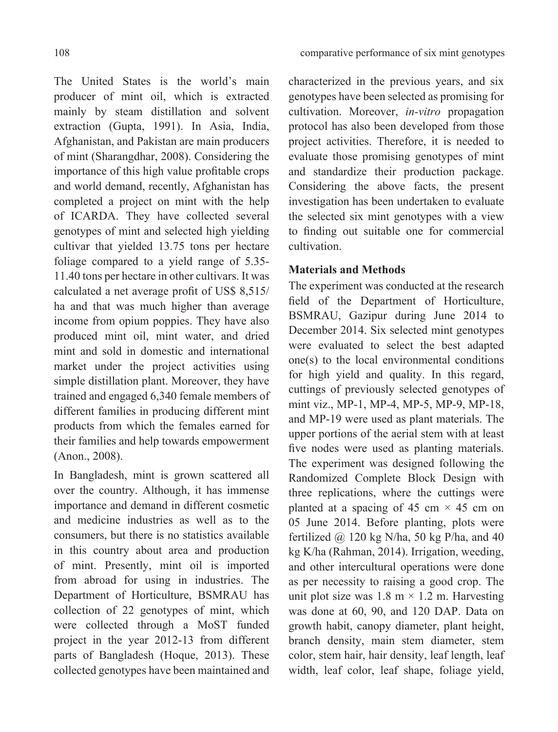The United States is the world's main producer of mint oil, which is extracted mainly by steam distillation and solvent extraction (Gupta, 1991). In Asia, India, Afghanistan, and Pakistan are main producers of mint (Sharangdhar, 2008). Considering the importance of this high value profitable crops and world demand, recently, Afghanistan has completed a project on mint with the help of ICARDA. They have collected several genotypes of mint and selected high yielding cultivar that yielded 13.75 tons per hectare foliage compared to a yield range of 5.35- 11.40 tons per hectare in other cultivars. It was calculated a net average profit of US\$ 8,515/ ha and that was much higher than average income from opium poppies. They have also produced mint oil, mint water, and dried mint and sold in domestic and international market under the project activities using simple distillation plant. Moreover, they have trained and engaged 6,340 female members of different families in producing different mint products from which the females earned for their families and help towards empowerment (Anon., 2008).

In Bangladesh, mint is grown scattered all over the country. Although, it has immense importance and demand in different cosmetic and medicine industries as well as to the consumers, but there is no statistics available in this country about area and production of mint. Presently, mint oil is imported from abroad for using in industries. The Department of Horticulture, BSMRAU has collection of 22 genotypes of mint, which were collected through a MoST funded project in the year 2012-13 from different parts of Bangladesh (Hoque, 2013). These collected genotypes have been maintained and

characterized in the previous years, and six genotypes have been selected as promising for cultivation. Moreover, *in-vitro* propagation protocol has also been developed from those project activities. Therefore, it is needed to evaluate those promising genotypes of mint and standardize their production package. Considering the above facts, the present investigation has been undertaken to evaluate the selected six mint genotypes with a view to finding out suitable one for commercial cultivation.

## **Materials and Methods**

The experiment was conducted at the research field of the Department of Horticulture, BSMRAU, Gazipur during June 2014 to December 2014. Six selected mint genotypes were evaluated to select the best adapted one(s) to the local environmental conditions for high yield and quality. In this regard, cuttings of previously selected genotypes of mint viz., MP-1, MP-4, MP-5, MP-9, MP-18, and MP-19 were used as plant materials. The upper portions of the aerial stem with at least five nodes were used as planting materials. The experiment was designed following the Randomized Complete Block Design with three replications, where the cuttings were planted at a spacing of 45 cm  $\times$  45 cm on 05 June 2014. Before planting, plots were fertilized  $\omega$  120 kg N/ha, 50 kg P/ha, and 40 kg K/ha (Rahman, 2014). Irrigation, weeding, and other intercultural operations were done as per necessity to raising a good crop. The unit plot size was  $1.8 \text{ m} \times 1.2 \text{ m}$ . Harvesting was done at 60, 90, and 120 DAP. Data on growth habit, canopy diameter, plant height, branch density, main stem diameter, stem color, stem hair, hair density, leaf length, leaf width, leaf color, leaf shape, foliage yield,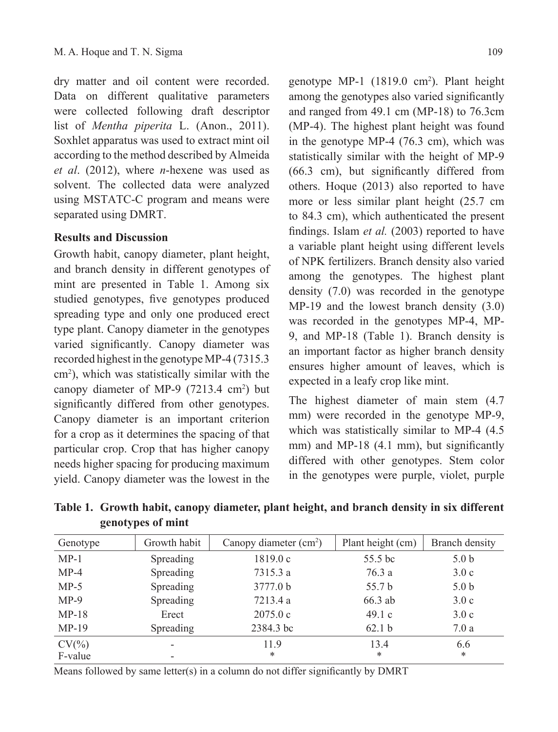dry matter and oil content were recorded. Data on different qualitative parameters were collected following draft descriptor list of *Mentha piperita* L. (Anon., 2011). Soxhlet apparatus was used to extract mint oil according to the method described by Almeida *et al*. (2012), where *n*-hexene was used as solvent. The collected data were analyzed using MSTATC-C program and means were separated using DMRT.

## **Results and Discussion**

Growth habit, canopy diameter, plant height, and branch density in different genotypes of mint are presented in Table 1. Among six studied genotypes, five genotypes produced spreading type and only one produced erect type plant. Canopy diameter in the genotypes varied significantly. Canopy diameter was recorded highest in the genotype MP-4 (7315.3 cm<sup>2</sup> ), which was statistically similar with the canopy diameter of MP-9  $(7213.4 \text{ cm}^2)$  but significantly differed from other genotypes. Canopy diameter is an important criterion for a crop as it determines the spacing of that particular crop. Crop that has higher canopy needs higher spacing for producing maximum yield. Canopy diameter was the lowest in the

genotype MP-1 (1819.0 cm2 ). Plant height among the genotypes also varied significantly and ranged from 49.1 cm (MP-18) to 76.3cm (MP-4). The highest plant height was found in the genotype MP-4 (76.3 cm), which was statistically similar with the height of MP-9 (66.3 cm), but significantly differed from others. Hoque (2013) also reported to have more or less similar plant height (25.7 cm to 84.3 cm), which authenticated the present findings. Islam *et al.* (2003) reported to have a variable plant height using different levels of NPK fertilizers. Branch density also varied among the genotypes. The highest plant density (7.0) was recorded in the genotype MP-19 and the lowest branch density (3.0) was recorded in the genotypes MP-4, MP-9, and MP-18 (Table 1). Branch density is an important factor as higher branch density ensures higher amount of leaves, which is expected in a leafy crop like mint.

The highest diameter of main stem (4.7 mm) were recorded in the genotype MP-9, which was statistically similar to MP-4  $(4.5)$ mm) and MP-18 (4.1 mm), but significantly differed with other genotypes. Stem color in the genotypes were purple, violet, purple

| Table 1. Growth habit, canopy diameter, plant height, and branch density in six different |  |  |  |  |
|-------------------------------------------------------------------------------------------|--|--|--|--|
| genotypes of mint                                                                         |  |  |  |  |

| Genotype  | Growth habit | Canopy diameter $(cm2)$ | Plant height (cm) | Branch density   |
|-----------|--------------|-------------------------|-------------------|------------------|
| $MP-1$    | Spreading    | 1819.0c                 | 55.5 bc           | 5.0 <sub>b</sub> |
| $MP-4$    | Spreading    | 7315.3 a                | 76.3 a            | 3.0c             |
| $MP-5$    | Spreading    | 3777.0 b                | 55.7 b            | 5.0 <sub>b</sub> |
| $MP-9$    | Spreading    | 7213.4 a                | 66.3 ab           | 3.0c             |
| $MP-18$   | Erect        | 2075.0c                 | 49.1c             | 3.0c             |
| $MP-19$   | Spreading    | 2384.3 bc               | 62.1 <sub>b</sub> | 7.0a             |
| $CV(\% )$ |              | 119                     | 13.4              | 6.6              |
| F-value   |              | *                       | *                 | $\ast$           |

Means followed by same letter(s) in a column do not differ significantly by DMRT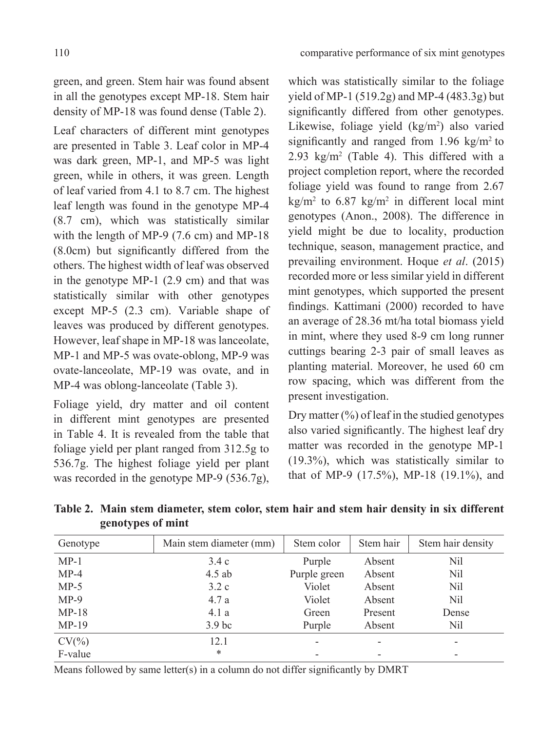green, and green. Stem hair was found absent in all the genotypes except MP-18. Stem hair density of MP-18 was found dense (Table 2).

Leaf characters of different mint genotypes are presented in Table 3. Leaf color in MP-4 was dark green, MP-1, and MP-5 was light green, while in others, it was green. Length of leaf varied from 4.1 to 8.7 cm. The highest leaf length was found in the genotype MP-4 (8.7 cm), which was statistically similar with the length of MP-9 (7.6 cm) and MP-18 (8.0cm) but significantly differed from the others. The highest width of leaf was observed in the genotype MP-1 (2.9 cm) and that was statistically similar with other genotypes except MP-5 (2.3 cm). Variable shape of leaves was produced by different genotypes. However, leaf shape in MP-18 was lanceolate, MP-1 and MP-5 was ovate-oblong, MP-9 was ovate-lanceolate, MP-19 was ovate, and in MP-4 was oblong-lanceolate (Table 3).

Foliage yield, dry matter and oil content in different mint genotypes are presented in Table 4. It is revealed from the table that foliage yield per plant ranged from 312.5g to 536.7g. The highest foliage yield per plant was recorded in the genotype MP-9 (536.7g),

which was statistically similar to the foliage yield of MP-1 (519.2g) and MP-4 (483.3g) but significantly differed from other genotypes. Likewise, foliage yield (kg/m<sup>2</sup>) also varied significantly and ranged from  $1.96 \text{ kg/m}^2$  to 2.93  $\text{kg/m}^2$  (Table 4). This differed with a project completion report, where the recorded foliage yield was found to range from 2.67  $\text{kg/m}^2$  to 6.87 kg/m<sup>2</sup> in different local mint genotypes (Anon., 2008). The difference in yield might be due to locality, production technique, season, management practice, and prevailing environment. Hoque *et al*. (2015) recorded more or less similar yield in different mint genotypes, which supported the present findings. Kattimani (2000) recorded to have an average of 28.36 mt/ha total biomass yield in mint, where they used 8-9 cm long runner cuttings bearing 2-3 pair of small leaves as planting material. Moreover, he used 60 cm row spacing, which was different from the present investigation.

Dry matter  $(\%)$  of leaf in the studied genotypes also varied significantly. The highest leaf dry matter was recorded in the genotype MP-1 (19.3%), which was statistically similar to that of MP-9 (17.5%), MP-18 (19.1%), and

| Table 2. Main stem diameter, stem color, stem hair and stem hair density in six different |  |  |  |  |  |  |
|-------------------------------------------------------------------------------------------|--|--|--|--|--|--|
| genotypes of mint                                                                         |  |  |  |  |  |  |

| Genotype  | Main stem diameter (mm) | Stem color   | Stem hair | Stem hair density |
|-----------|-------------------------|--------------|-----------|-------------------|
| $MP-1$    | 3.4c                    | Purple       | Absent    | Nil               |
| $MP-4$    | $4.5$ ab                | Purple green | Absent    | Nil               |
| $MP-5$    | 3.2c                    | Violet       | Absent    | Nil               |
| $MP-9$    | 4.7a                    | Violet       | Absent    | Nil               |
| $MP-18$   | 4.1a                    | Green        | Present   | Dense             |
| $MP-19$   | 3.9 <sub>bc</sub>       | Purple       | Absent    | Nil               |
| $CV(\% )$ | 12.1                    |              |           |                   |
| F-value   | *                       |              |           |                   |

Means followed by same letter(s) in a column do not differ significantly by DMRT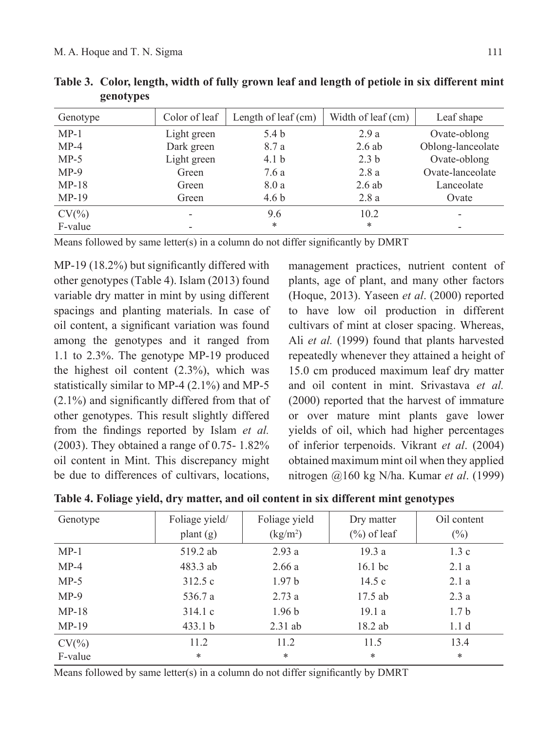| Genotype  | Color of leaf | Length of leaf $(cm)$ | Width of leaf (cm) | Leaf shape        |
|-----------|---------------|-----------------------|--------------------|-------------------|
| $MP-1$    | Light green   | 5.4 <sub>b</sub>      | 2.9a               | Ovate-oblong      |
| $MP-4$    | Dark green    | 8.7 a                 | $2.6$ ab           | Oblong-lanceolate |
| $MP-5$    | Light green   | 4.1 <sub>b</sub>      | 2.3 <sub>b</sub>   | Ovate-oblong      |
| $MP-9$    | Green         | 7.6 a                 | 2.8a               | Ovate-lanceolate  |
| $MP-18$   | Green         | 8.0a                  | $2.6$ ab           | Lanceolate        |
| $MP-19$   | Green         | 4.6 <sub>b</sub>      | 2.8a               | Ovate             |
| $CV(\% )$ |               | 9.6                   | 10.2               |                   |
| F-value   |               | *                     | $\ast$             | -                 |

**Table 3. Color, length, width of fully grown leaf and length of petiole in six different mint genotypes**

Means followed by same letter(s) in a column do not differ significantly by DMRT

MP-19 (18.2%) but significantly differed with other genotypes (Table 4). Islam (2013) found variable dry matter in mint by using different spacings and planting materials. In case of oil content, a significant variation was found among the genotypes and it ranged from 1.1 to 2.3%. The genotype MP-19 produced the highest oil content  $(2.3\%)$ , which was statistically similar to MP-4 (2.1%) and MP-5 (2.1%) and significantly differed from that of other genotypes. This result slightly differed from the findings reported by Islam *et al.* (2003). They obtained a range of 0.75- 1.82% oil content in Mint. This discrepancy might be due to differences of cultivars, locations,

management practices, nutrient content of plants, age of plant, and many other factors (Hoque, 2013). Yaseen *et al*. (2000) reported to have low oil production in different cultivars of mint at closer spacing. Whereas, Ali *et al.* (1999) found that plants harvested repeatedly whenever they attained a height of 15.0 cm produced maximum leaf dry matter and oil content in mint. Srivastava *et al.* (2000) reported that the harvest of immature or over mature mint plants gave lower yields of oil, which had higher percentages of inferior terpenoids. Vikrant *et al*. (2004) obtained maximum mint oil when they applied nitrogen @160 kg N/ha. Kumar *et al*. (1999)

| Genotype  | Foliage yield/                          | Foliage yield                  | Dry matter     | Oil content      |
|-----------|-----------------------------------------|--------------------------------|----------------|------------------|
|           | $\mathbf{plant}\left(\mathbf{g}\right)$ | $\frac{\text{kg}}{\text{m}^2}$ | $(\%)$ of leaf | $(\%)$           |
| $MP-1$    | 519.2 ab                                | 2.93a                          | 19.3a          | 1.3c             |
| $MP-4$    | 483.3 ab                                | 2.66a                          | $16.1$ bc      | 2.1a             |
| $MP-5$    | 312.5c                                  | 1.97 <sub>b</sub>              | 14.5c          | 2.1a             |
| $MP-9$    | 536.7 a                                 | 2.73a                          | 17.5 ab        | 2.3a             |
| $MP-18$   | 314.1c                                  | 1.96 <sub>b</sub>              | 19.1a          | 1.7 <sub>b</sub> |
| $MP-19$   | 433.1 b                                 | $2.31$ ab                      | 18.2 ab        | 1.1 <sub>d</sub> |
| $CV(\% )$ | 11.2                                    | 11.2                           | 11.5           | 13.4             |
| F-value   | $\ast$                                  | $\ast$                         | $\ast$         | $\ast$           |

**Table 4. Foliage yield, dry matter, and oil content in six different mint genotypes**

Means followed by same letter(s) in a column do not differ significantly by DMRT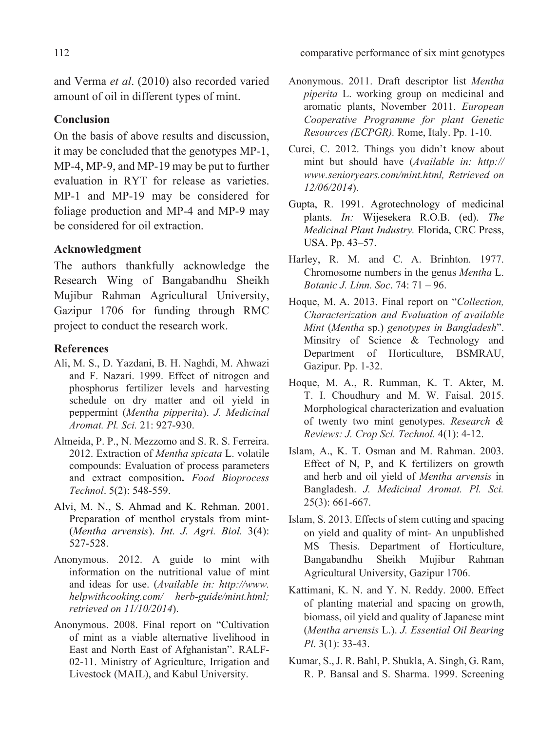and Verma *et al*. (2010) also recorded varied amount of oil in different types of mint.

## **Conclusion**

On the basis of above results and discussion, it may be concluded that the genotypes MP-1, MP-4, MP-9, and MP-19 may be put to further evaluation in RYT for release as varieties. MP-1 and MP-19 may be considered for foliage production and MP-4 and MP-9 may be considered for oil extraction.

## **Acknowledgment**

The authors thankfully acknowledge the Research wing of Bangabandhu Sheikh Mujibur Rahman Agricultural University, Gazipur 1706 for funding through RMC project to conduct the research work.

#### **References**

- Ali, M. S., D. Yazdani, B. H. Naghdi, M. Ahwazi and F. Nazari. 1999. Effect of nitrogen and phosphorus fertilizer levels and harvesting schedule on dry matter and oil yield in peppermint (*Mentha pipperita*). *J. Medicinal Aromat. Pl. Sci.* 21: 927-930.
- Almeida, P. P., N. Mezzomo and S. R. S. Ferreira. 2012. Extraction of *Mentha spicata* L. volatile compounds: Evaluation of process parameters and extract composition**.** *Food Bioprocess Technol*. 5(2): 548-559.
- Alvi, M. N., S. Ahmad and K. Rehman. 2001. Preparation of menthol crystals from mint- (*Mentha arvensis*). *Int. J. Agri. Biol.* 3(4): 527-528.
- Anonymous. 2012. A guide to mint with information on the nutritional value of mint and ideas for use. (*Available in: http://www. helpwithcooking.com/ herb-guide/mint.html; retrieved on 11/10/2014*).
- Anonymous. 2008. Final report on "Cultivation of mint as a viable alternative livelihood in East and North East of Afghanistan". RALF-02-11. Ministry of Agriculture, Irrigation and Livestock (MAIL), and Kabul University.
- Anonymous. 2011. Draft descriptor list *Mentha piperita* L. working group on medicinal and aromatic plants, November 2011. *European Cooperative Programme for plant Genetic Resources (ECPGR).* Rome, Italy. pp. 1-10.
- Curci, C. 2012. Things you didn't know about mint but should have (*Available in: http:// www.senioryears.com/mint.html, Retrieved on 12/06/2014*).
- Gupta, R. 1991. Agrotechnology of medicinal plants. *In:* Wijesekera R.O.B. (ed). *The Medicinal Plant Industry.* Florida, CRC Press, USA. pp. 43–57.
- Harley, R. M. and C. A. Brinhton. 1977. Chromosome numbers in the genus *Mentha* L. *Botanic J. Linn. Soc*. 74: 71 – 96.
- Hoque, M. A. 2013. Final report on "*Collection, Characterization and Evaluation of available Mint* (*Mentha* sp.) *genotypes in Bangladesh*". Minsitry of Science & Technology and Department of Horticulture, BSMRAU, Gazipur. Pp. 1-32.
- Hoque, M. A., R. Rumman, K. T. Akter, M. T. I. Choudhury and M. W. Faisal. 2015. Morphological characterization and evaluation of twenty two mint genotypes. *Research & Reviews: J. Crop Sci. Technol.* 4(1): 4-12.
- Islam, A., K. T. Osman and M. Rahman. 2003. Effect of N, P, and K fertilizers on growth and herb and oil yield of *Mentha arvensis* in Bangladesh. *J. Medicinal Aromat. Pl. Sci.* 25(3): 661-667.
- Islam, S. 2013. Effects of stem cutting and spacing on yield and quality of mint*-* An unpublished MS Thesis. Department of Horticulture, Bangabandhu Sheikh Mujibur Rahman Agricultural University, Gazipur 1706.
- Kattimani, K. N. and Y. N. Reddy. 2000. Effect of planting material and spacing on growth, biomass, oil yield and quality of Japanese mint (*Mentha arvensis* L.). *J. Essential Oil Bearing Pl*. 3(1): 33-43.
- Kumar, S., J. R. Bahl, P. Shukla, A. Singh, G. Ram, R. P. Bansal and S. Sharma. 1999. Screening